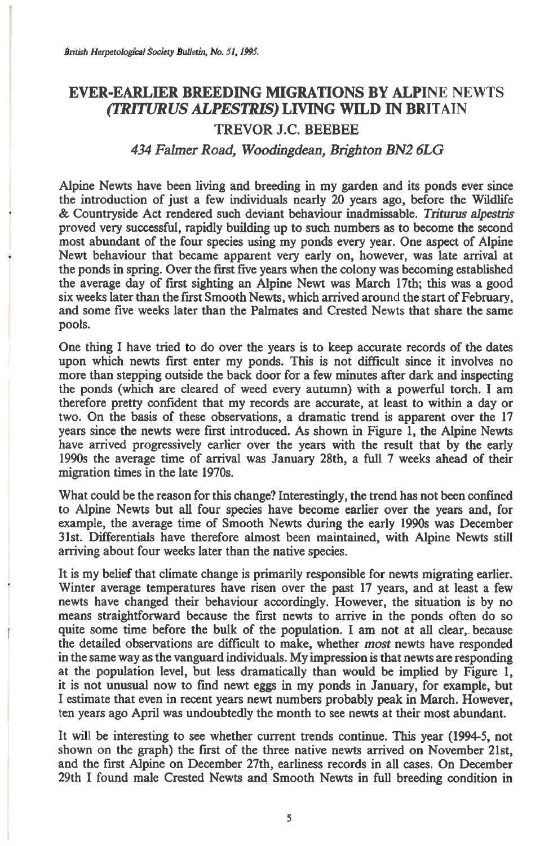## **EVER-EARLIER BREEDING MIGRATIONS BY ALPINE** NEWTS *(TRITURUS ALPESTRIS)* **LIVING WILD IN BRITAIN**

## **TREVOR J.C. BEEBEE**

## *434 Falmer Road, Woodingdean, Brighton BN2 6LG*

**Alpine Newts have been living and breeding in my garden and its ponds ever since the introduction of just a few individuals nearly 20 years ago, before the Wildlife & Countryside Act rendered such deviant behaviour inadmissable.** *Triturus alpestris*  **proved very successful, rapidly building up to such numbers as to become the second most abundant of the four species using my ponds every year. One aspect of Alpine Newt behaviour that became apparent very early on, however, was late arrival at the ponds in spring. Over the first five years when the colony was becoming established the average day of first sighting an Alpine Newt was March 17th; this was a good six weeks later than the first Smooth Newts, which arrived around the start of February, and some five weeks later than the Palmates and Crested** Newts **that share the same pools.** 

**One thing I have tried to do over the years is to keep accurate records of the dates upon which newts first enter my ponds. This is not difficult since it involves no more than stepping outside the back door for a few minutes after dark and inspecting the ponds (which are cleared of weed every autumn) with a powerful torch. I am therefore pretty confident that my records are accurate, at least to within a day or two. On the basis of these observations, a dramatic trend is apparent over the 17 years since the newts were first introduced. As shown in Figure 1, the Alpine Newts have arrived progressively earlier over the years with the result that by the early 1990s the average time of arrival was January 28th, a full 7 weeks ahead of their migration times in the late 1970s.** 

**What could be the reason for this change? Interestingly, the trend has not been confined to Alpine Newts but all four species have become earlier over the years and, for example, the average time of Smooth Newts during the early 1990s was December 31st. Differentials have therefore almost been maintained, with Alpine Newts still arriving about four weeks later than the native species.** 

**It is my belief that climate change is primarily responsible for newts migrating earlier. Winter average temperatures have risen over the past 17 years, and at least a few newts have changed their behaviour accordingly. However, the situation is by no means straightforward because the first newts to arrive in the ponds often do so quite some time before the bulk of the population. I am not at all clear,. because the detailed observations are difficult to make, whether** *most* **newts have responded in the same way as the vanguard individuals. My impression is that newts are responding at the population level, but less dramatically than would be implied by Figure 1, it is not unusual now to find newt eggs in my ponds in January, for example, but I estimate that even in recent years newt numbers probably peak in March. However, ten years ago April was undoubtedly the month to see newts at their most abundant.** 

**It will be interesting to see whether current trends continue. This year (1994-5, not shown on the graph) the first of the three native newts arrived on November 21st, and the first Alpine on December 27th, earliness records in all cases. On December 29th I found male Crested Newts and Smooth Newts in full breeding condition in**